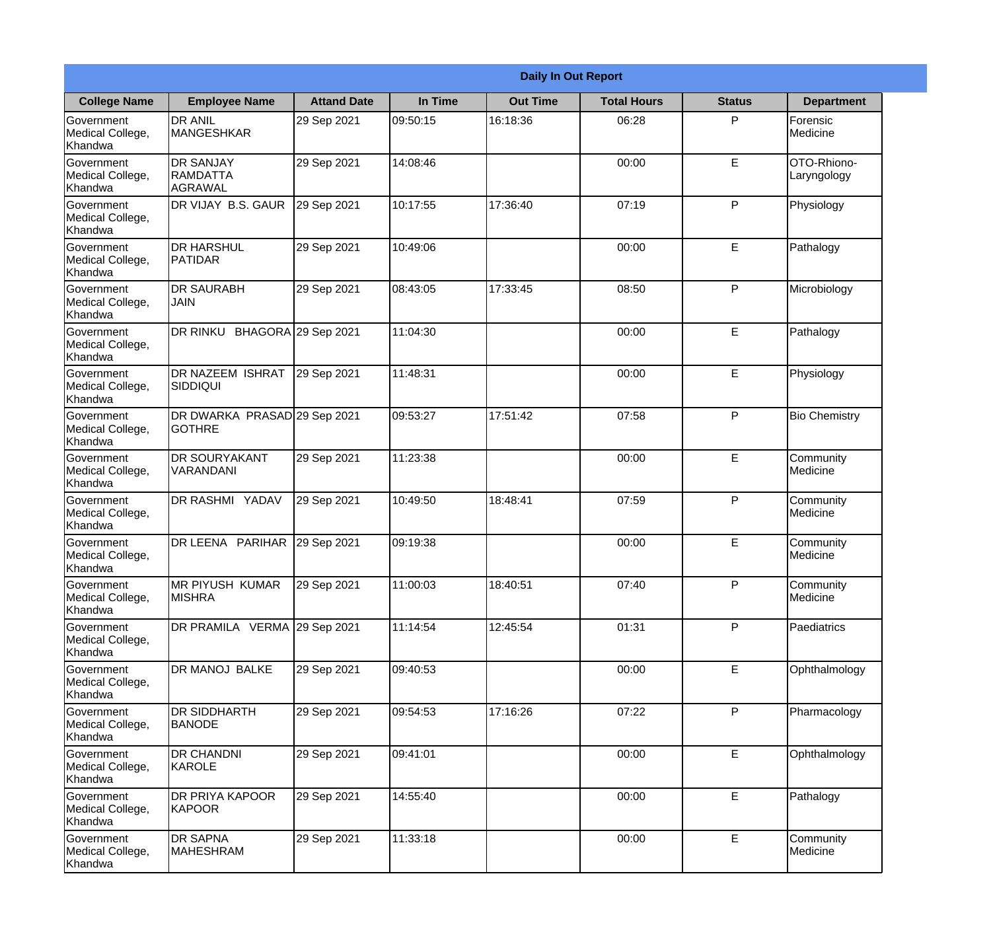|                                                  | <b>Daily In Out Report</b>                            |                    |          |                 |                    |               |                            |  |
|--------------------------------------------------|-------------------------------------------------------|--------------------|----------|-----------------|--------------------|---------------|----------------------------|--|
| <b>College Name</b>                              | <b>Employee Name</b>                                  | <b>Attand Date</b> | In Time  | <b>Out Time</b> | <b>Total Hours</b> | <b>Status</b> | <b>Department</b>          |  |
| Government<br>Medical College,<br>Khandwa        | <b>DR ANIL</b><br>MANGESHKAR                          | 29 Sep 2021        | 09:50:15 | 16:18:36        | 06:28              | P             | Forensic<br>Medicine       |  |
| Government<br>Medical College,<br>Khandwa        | <b>DR SANJAY</b><br><b>RAMDATTA</b><br><b>AGRAWAL</b> | 29 Sep 2021        | 14:08:46 |                 | 00:00              | $\mathsf E$   | OTO-Rhiono-<br>Laryngology |  |
| <b>Government</b><br>Medical College,<br>Khandwa | DR VIJAY B.S. GAUR                                    | 29 Sep 2021        | 10:17:55 | 17:36:40        | 07:19              | P             | Physiology                 |  |
| <b>Government</b><br>Medical College,<br>Khandwa | <b>DR HARSHUL</b><br>PATIDAR                          | 29 Sep 2021        | 10:49:06 |                 | 00:00              | E             | Pathalogy                  |  |
| Government<br>Medical College,<br>Khandwa        | <b>DR SAURABH</b><br><b>JAIN</b>                      | 29 Sep 2021        | 08:43:05 | 17:33:45        | 08:50              | P             | Microbiology               |  |
| Government<br>Medical College,<br>Khandwa        | DR RINKU BHAGORA 29 Sep 2021                          |                    | 11:04:30 |                 | 00:00              | E             | Pathalogy                  |  |
| <b>Government</b><br>Medical College,<br>Khandwa | DR NAZEEM ISHRAT<br> SIDDIQUI                         | 29 Sep 2021        | 11:48:31 |                 | 00:00              | E             | Physiology                 |  |
| <b>Government</b><br>Medical College,<br>Khandwa | DR DWARKA PRASAD 29 Sep 2021<br><b>GOTHRE</b>         |                    | 09:53:27 | 17:51:42        | 07:58              | P             | <b>Bio Chemistry</b>       |  |
| Government<br>Medical College,<br>Khandwa        | <b>DR SOURYAKANT</b><br>VARANDANI                     | 29 Sep 2021        | 11:23:38 |                 | 00:00              | E             | Community<br>Medicine      |  |
| Government<br>Medical College,<br>Khandwa        | <b>DR RASHMI YADAV</b>                                | 29 Sep 2021        | 10:49:50 | 18:48:41        | 07:59              | P             | Community<br>Medicine      |  |
| Government<br>Medical College,<br>Khandwa        | DR LEENA PARIHAR                                      | 29 Sep 2021        | 09:19:38 |                 | 00:00              | E             | Community<br>Medicine      |  |
| Government<br>Medical College,<br>Khandwa        | MR PIYUSH KUMAR<br><b>MISHRA</b>                      | 29 Sep 2021        | 11:00:03 | 18:40:51        | 07:40              | P.            | Community<br>Medicine      |  |
| Government<br>Medical College,<br>Khandwa        | DR PRAMILA VERMA 29 Sep 2021                          |                    | 11:14:54 | 12:45:54        | 01:31              | P             | Paediatrics                |  |
| Government<br>Medical College,<br>Khandwa        | DR MANOJ BALKE                                        | 29 Sep 2021        | 09:40:53 |                 | 00:00              | $\mathsf E$   | Ophthalmology              |  |
| Government<br>Medical College,<br>Khandwa        | DR SIDDHARTH<br><b>BANODE</b>                         | 29 Sep 2021        | 09:54:53 | 17:16:26        | 07:22              | $\mathsf{P}$  | Pharmacology               |  |
| Government<br>Medical College,<br>Khandwa        | <b>DR CHANDNI</b><br>KAROLE                           | 29 Sep 2021        | 09:41:01 |                 | 00:00              | E             | Ophthalmology              |  |
| Government<br>Medical College,<br>Khandwa        | <b>DR PRIYA KAPOOR</b><br>KAPOOR                      | 29 Sep 2021        | 14:55:40 |                 | 00:00              | E             | Pathalogy                  |  |
| Government<br>Medical College,<br>Khandwa        | <b>DR SAPNA</b><br>MAHESHRAM                          | 29 Sep 2021        | 11:33:18 |                 | 00:00              | $\mathsf E$   | Community<br>Medicine      |  |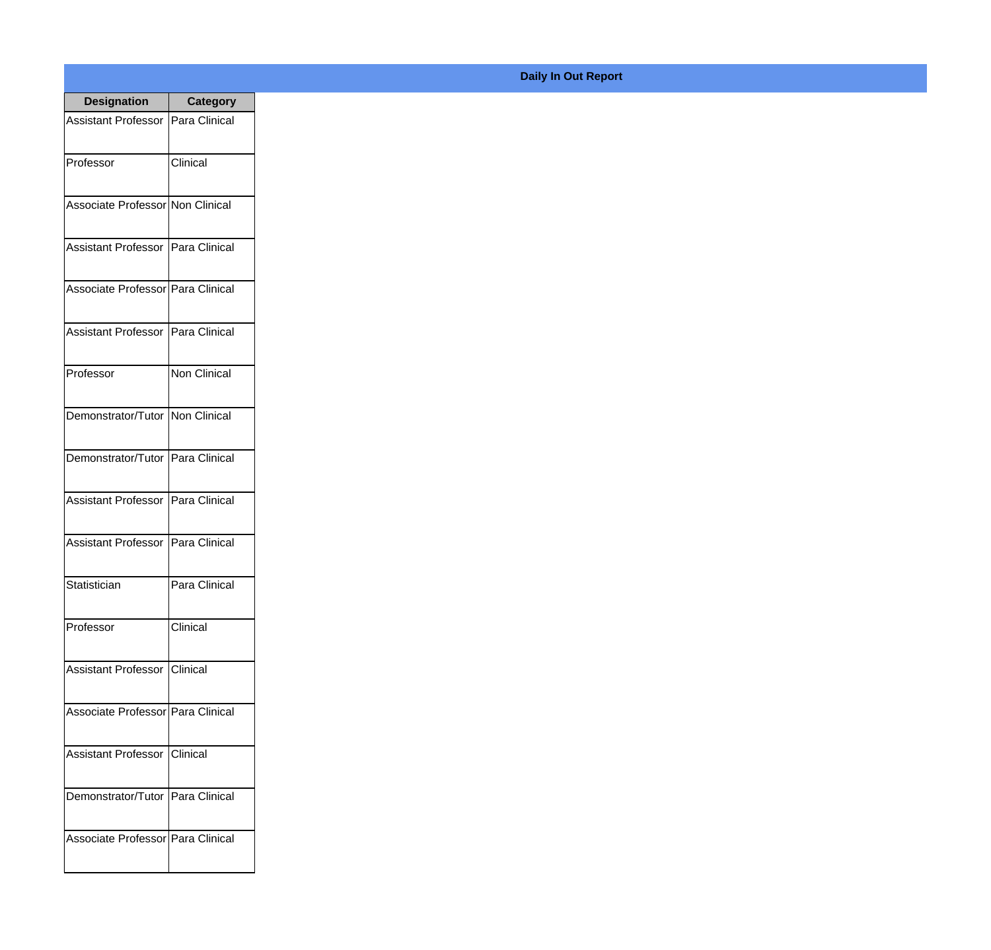| <b>Designation</b>                  | <b>Category</b>     |
|-------------------------------------|---------------------|
| <b>Assistant Professor</b>          | Para Clinical       |
| Professor                           | Clinical            |
| Associate Professor Non Clinical    |                     |
| Assistant Professor                 | Para Clinical       |
| Associate Professor Para Clinical   |                     |
| Assistant Professor   Para Clinical |                     |
| Professor                           | <b>Non Clinical</b> |
| Demonstrator/Tutor   Non Clinical   |                     |
| Demonstrator/Tutor   Para Clinical  |                     |
| <b>Assistant Professor</b>          | Para Clinical       |
| <b>Assistant Professor</b>          | Para Clinical       |
| Statistician                        | Para Clinical       |
| Professor                           | Clinical            |
| Assistant Professor   Clinical      |                     |
| Associate Professor Para Clinical   |                     |
| <b>Assistant Professor</b>          | Clinical            |
| Demonstrator/Tutor                  | Para Clinical       |
| Associate Professor   Para Clinical |                     |

## **Daily In Out Report**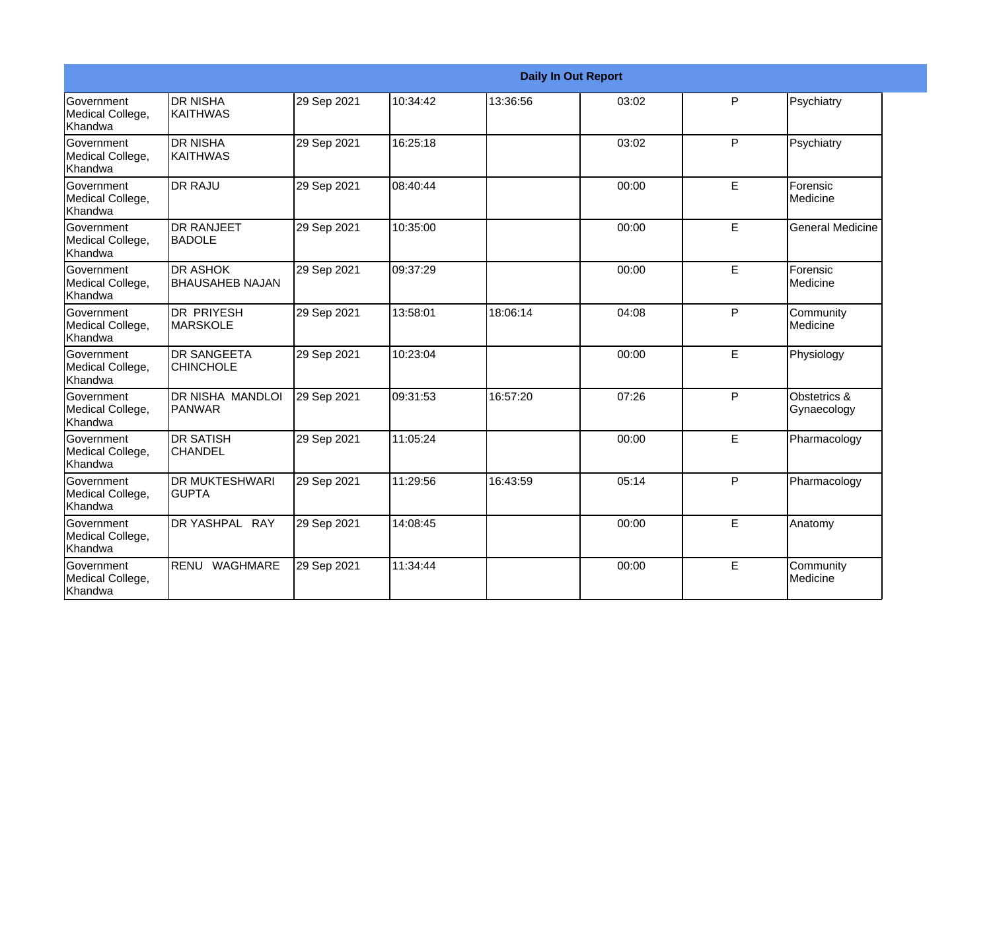|                                                         |                                           |             |          |          | <b>Daily In Out Report</b> |   |                             |
|---------------------------------------------------------|-------------------------------------------|-------------|----------|----------|----------------------------|---|-----------------------------|
| Government<br>Medical College,<br>Khandwa               | <b>DR NISHA</b><br><b>KAITHWAS</b>        | 29 Sep 2021 | 10:34:42 | 13:36:56 | 03:02                      | P | Psychiatry                  |
| Government<br>Medical College,<br>Khandwa               | <b>DR NISHA</b><br>KAITHWAS               | 29 Sep 2021 | 16:25:18 |          | 03:02                      | P | Psychiatry                  |
| <b>Government</b><br>Medical College,<br>Khandwa        | <b>DR RAJU</b>                            | 29 Sep 2021 | 08:40:44 |          | 00:00                      | E | Forensic<br>Medicine        |
| <b>Government</b><br>Medical College,<br>Khandwa        | <b>IDR RANJEET</b><br><b>BADOLE</b>       | 29 Sep 2021 | 10:35:00 |          | 00:00                      | E | <b>General Medicine</b>     |
| <b>Government</b><br>Medical College,<br><b>Khandwa</b> | <b>DR ASHOK</b><br><b>BHAUSAHEB NAJAN</b> | 29 Sep 2021 | 09:37:29 |          | 00:00                      | E | Forensic<br>Medicine        |
| <b>Government</b><br>Medical College,<br>Khandwa        | <b>DR PRIYESH</b><br><b>MARSKOLE</b>      | 29 Sep 2021 | 13:58:01 | 18:06:14 | 04:08                      | P | Community<br>Medicine       |
| Government<br>Medical College,<br>Khandwa               | <b>DR SANGEETA</b><br><b>CHINCHOLE</b>    | 29 Sep 2021 | 10:23:04 |          | 00:00                      | E | Physiology                  |
| <b>Government</b><br>Medical College,<br><b>Khandwa</b> | DR NISHA MANDLOI<br><b>PANWAR</b>         | 29 Sep 2021 | 09:31:53 | 16:57:20 | 07:26                      | P | Obstetrics &<br>Gynaecology |
| <b>Government</b><br>Medical College,<br>Khandwa        | <b>DR SATISH</b><br><b>CHANDEL</b>        | 29 Sep 2021 | 11:05:24 |          | 00:00                      | E | Pharmacology                |
| Government<br>Medical College,<br>Khandwa               | <b>DR MUKTESHWARI</b><br><b>GUPTA</b>     | 29 Sep 2021 | 11:29:56 | 16:43:59 | 05:14                      | P | Pharmacology                |
| Government<br>Medical College,<br>Khandwa               | DR YASHPAL RAY                            | 29 Sep 2021 | 14:08:45 |          | 00:00                      | E | Anatomy                     |
| <b>Government</b><br>Medical College,<br>Khandwa        | RENU<br>WAGHMARE                          | 29 Sep 2021 | 11:34:44 |          | 00:00                      | E | Community<br>Medicine       |